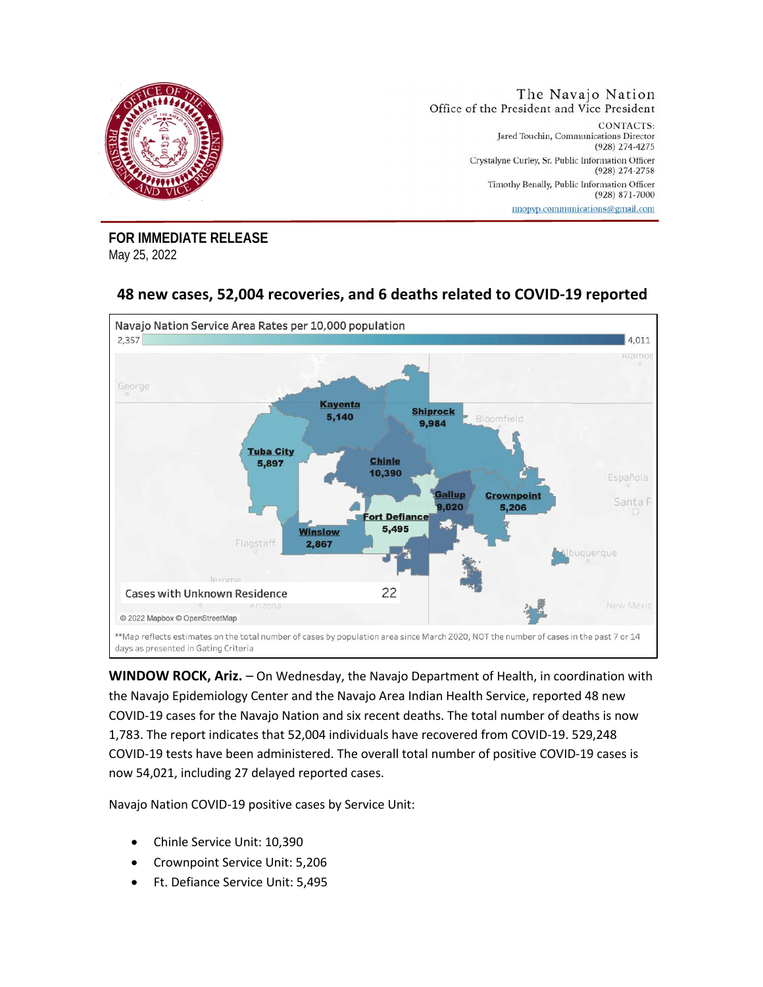

**FOR IMMEDIATE RELEASE**  May 25, 2022

## **48 new cases, 52,004 recoveries, and 6 deaths related to COVID-19 reported**



**WINDOW ROCK, Ariz.** – On Wednesday, the Navajo Department of Health, in coordination with the Navajo Epidemiology Center and the Navajo Area Indian Health Service, reported 48 new COVID-19 cases for the Navajo Nation and six recent deaths. The total number of deaths is now 1,783. The report indicates that 52,004 individuals have recovered from COVID-19. 529,248 COVID-19 tests have been administered. The overall total number of positive COVID-19 cases is now 54,021, including 27 delayed reported cases.

Navajo Nation COVID-19 positive cases by Service Unit:

- Chinle Service Unit: 10,390
- Crownpoint Service Unit: 5,206
- Ft. Defiance Service Unit: 5,495